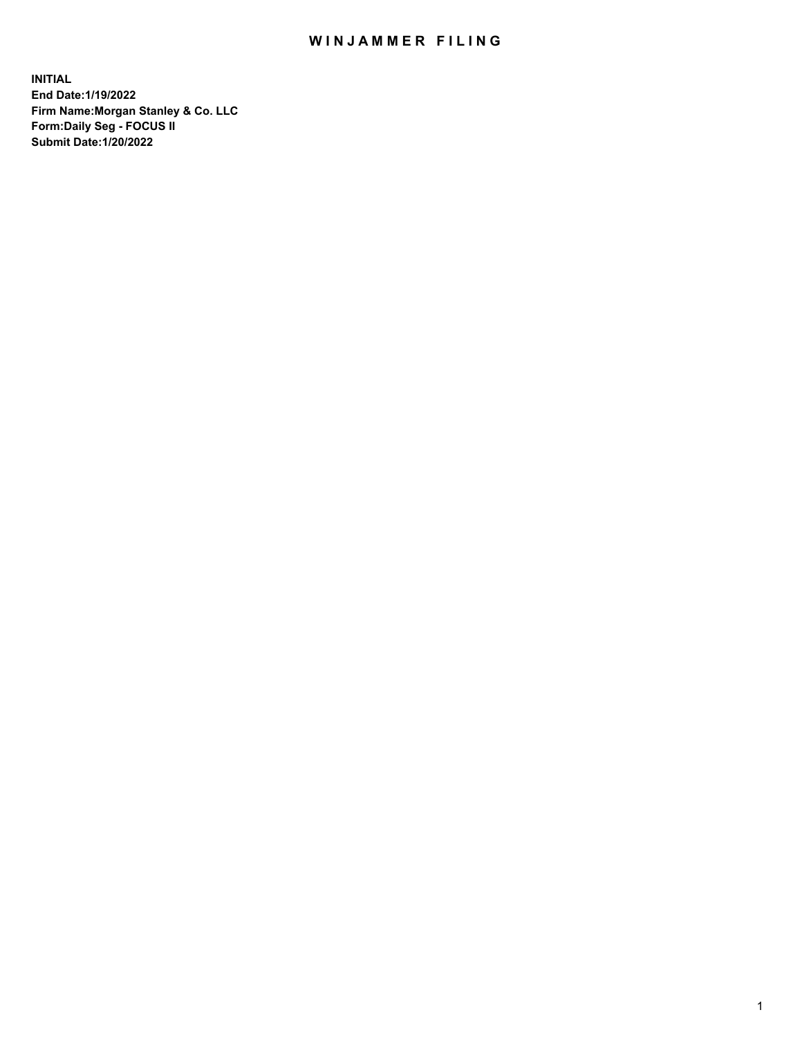## WIN JAMMER FILING

**INITIAL End Date:1/19/2022 Firm Name:Morgan Stanley & Co. LLC Form:Daily Seg - FOCUS II Submit Date:1/20/2022**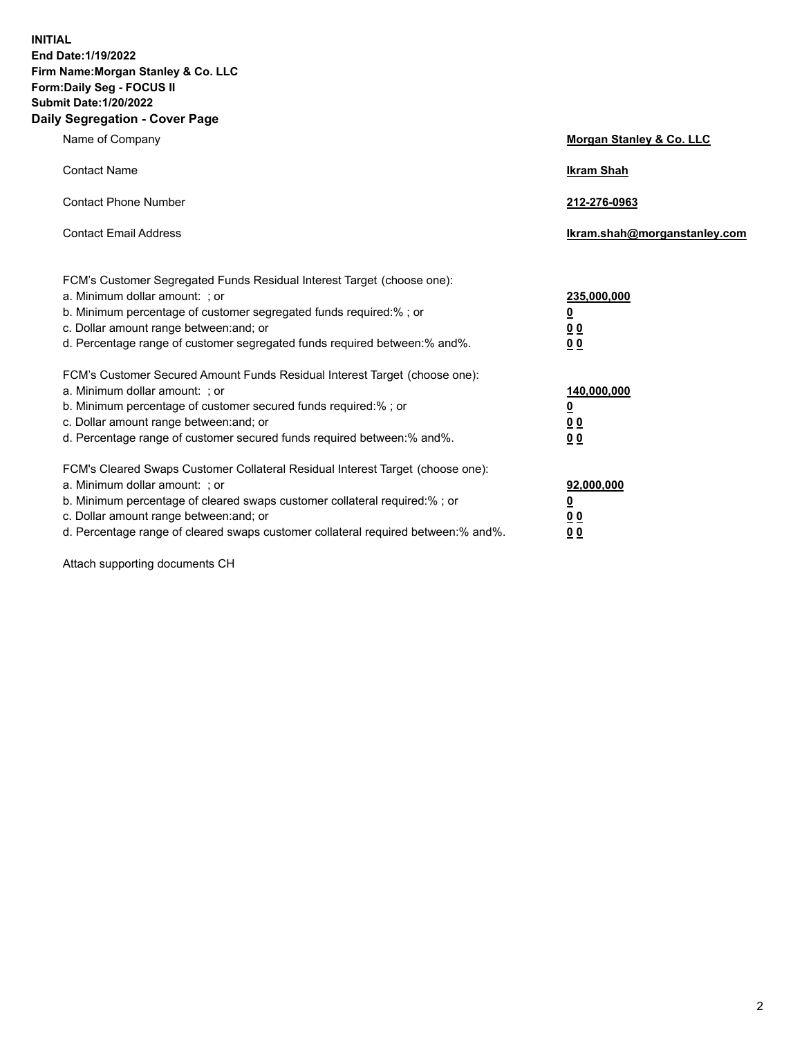**INITIAL End Date:1/19/2022 Firm Name:Morgan Stanley & Co. LLC Form:Daily Seg - FOCUS II Submit Date:1/20/2022 Daily Segregation - Cover Page**

| Name of Company                                                                                                                                                                                                                                                                                                                | Morgan Stanley & Co. LLC                               |
|--------------------------------------------------------------------------------------------------------------------------------------------------------------------------------------------------------------------------------------------------------------------------------------------------------------------------------|--------------------------------------------------------|
| <b>Contact Name</b>                                                                                                                                                                                                                                                                                                            | <b>Ikram Shah</b>                                      |
| <b>Contact Phone Number</b>                                                                                                                                                                                                                                                                                                    | 212-276-0963                                           |
| <b>Contact Email Address</b>                                                                                                                                                                                                                                                                                                   | Ikram.shah@morganstanley.com                           |
| FCM's Customer Segregated Funds Residual Interest Target (choose one):<br>a. Minimum dollar amount: : or<br>b. Minimum percentage of customer segregated funds required:%; or<br>c. Dollar amount range between: and; or<br>d. Percentage range of customer segregated funds required between:% and%.                          | 235,000,000<br><u>0</u><br>0 Q<br><u>00</u>            |
| FCM's Customer Secured Amount Funds Residual Interest Target (choose one):<br>a. Minimum dollar amount: ; or<br>b. Minimum percentage of customer secured funds required:%; or<br>c. Dollar amount range between: and; or<br>d. Percentage range of customer secured funds required between:% and%.                            | 140,000,000<br><u>0</u><br><u>00</u><br>0 <sub>0</sub> |
| FCM's Cleared Swaps Customer Collateral Residual Interest Target (choose one):<br>a. Minimum dollar amount: ; or<br>b. Minimum percentage of cleared swaps customer collateral required:% ; or<br>c. Dollar amount range between: and; or<br>d. Percentage range of cleared swaps customer collateral required between:% and%. | 92,000,000<br><u>0</u><br><u>00</u><br>0 <sub>0</sub>  |

Attach supporting documents CH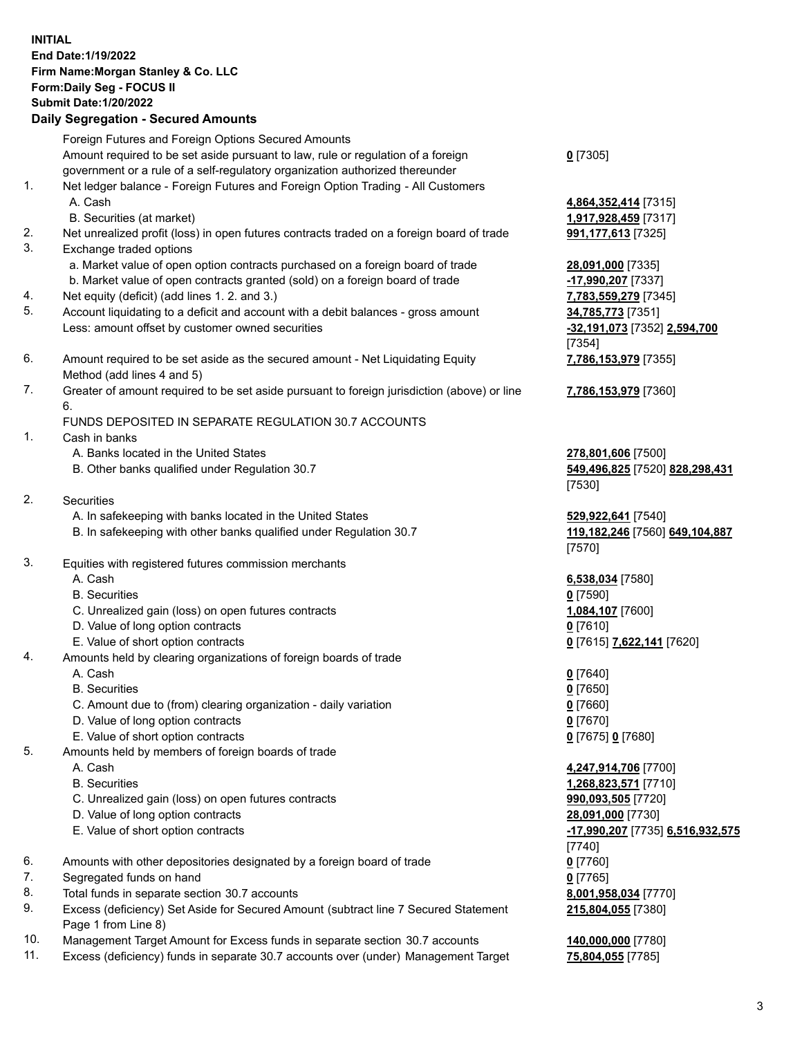## **INITIAL End Date:1/19/2022 Firm Name:Morgan Stanley & Co. LLC Form:Daily Seg - FOCUS II Submit Date:1/20/2022 Daily Segregation - Secured Amounts** Foreign Futures and Foreign Options Secured Amounts Amount required to be set aside pursuant to law, rule or regulation of a foreign government or a rule of a self-regulatory organization authorized thereunder 1. Net ledger balance - Foreign Futures and Foreign Option Trading - All Customers A. Cash **4,864,352,414** [7315] B. Securities (at market) **1,917,928,459** [7317] 2. Net unrealized profit (loss) in open futures contracts traded on a foreign board of trade **991,177,613** [7325] 3. Exchange traded options a. Market value of open option contracts purchased on a foreign board of trade **28,091,000** [7335] b. Market value of open contracts granted (sold) on a foreign board of trade **-17,990,207** [7337] 4. Net equity (deficit) (add lines 1. 2. and 3.) **7,783,559,279** [7345] 5. Account liquidating to a deficit and account with a debit balances - gross amount **34,785,773** [7351] Less: amount offset by customer owned securities **-32,191,073** [7352] **2,594,700** 6. Amount required to be set aside as the secured amount - Net Liquidating Equity Method (add lines 4 and 5) 7. Greater of amount required to be set aside pursuant to foreign jurisdiction (above) or line 6. FUNDS DEPOSITED IN SEPARATE REGULATION 30.7 ACCOUNTS 1. Cash in banks A. Banks located in the United States **278,801,606** [7500] B. Other banks qualified under Regulation 30.7 **549,496,825** [7520] **828,298,431** 2. Securities A. In safekeeping with banks located in the United States **529,922,641** [7540] B. In safekeeping with other banks qualified under Regulation 30.7 **119,182,246** [7560] **649,104,887** 3. Equities with registered futures commission merchants A. Cash **6,538,034** [7580] B. Securities **0** [7590] C. Unrealized gain (loss) on open futures contracts **1,084,107** [7600] D. Value of long option contracts **0** [7610] E. Value of short option contracts **0** [7615] **7,622,141** [7620] 4. Amounts held by clearing organizations of foreign boards of trade A. Cash **0** [7640] B. Securities **0** [7650] C. Amount due to (from) clearing organization - daily variation **0** [7660] D. Value of long option contracts **0** [7670] E. Value of short option contracts **0** [7675] **0** [7680] 5. Amounts held by members of foreign boards of trade

- 
- 
- C. Unrealized gain (loss) on open futures contracts **990,093,505** [7720]
- D. Value of long option contracts **28,091,000** [7730]
- 
- 6. Amounts with other depositories designated by a foreign board of trade **0** [7760]
- 7. Segregated funds on hand **0** [7765]
- 8. Total funds in separate section 30.7 accounts **8,001,958,034** [7770]
- 9. Excess (deficiency) Set Aside for Secured Amount (subtract line 7 Secured Statement Page 1 from Line 8)
- 10. Management Target Amount for Excess funds in separate section 30.7 accounts **140,000,000** [7780]
- 11. Excess (deficiency) funds in separate 30.7 accounts over (under) Management Target **75,804,055** [7785]

**0** [7305]

[7354] **7,786,153,979** [7355]

**7,786,153,979** [7360]

[7530]

[7570]

 A. Cash **4,247,914,706** [7700] B. Securities **1,268,823,571** [7710] E. Value of short option contracts **-17,990,207** [7735] **6,516,932,575** [7740] **215,804,055** [7380]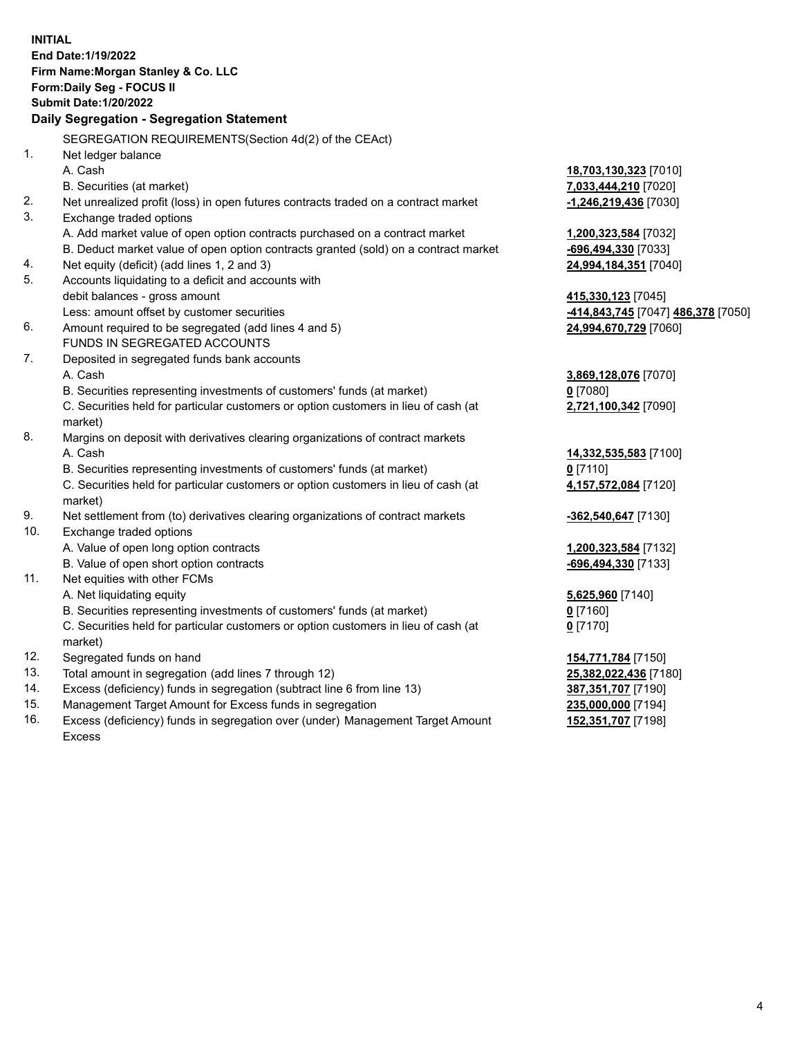|     | <b>INITIAL</b>                                                                                 |                                    |
|-----|------------------------------------------------------------------------------------------------|------------------------------------|
|     | End Date: 1/19/2022                                                                            |                                    |
|     | Firm Name: Morgan Stanley & Co. LLC                                                            |                                    |
|     | <b>Form:Daily Seg - FOCUS II</b>                                                               |                                    |
|     | <b>Submit Date: 1/20/2022</b>                                                                  |                                    |
|     | Daily Segregation - Segregation Statement                                                      |                                    |
|     | SEGREGATION REQUIREMENTS (Section 4d(2) of the CEAct)                                          |                                    |
| 1.  | Net ledger balance                                                                             |                                    |
|     | A. Cash                                                                                        | 18,703,130,323 [7010]              |
|     | B. Securities (at market)                                                                      | 7,033,444,210 [7020]               |
| 2.  | Net unrealized profit (loss) in open futures contracts traded on a contract market             | -1,246,219,436 [7030]              |
| 3.  | Exchange traded options                                                                        |                                    |
|     | A. Add market value of open option contracts purchased on a contract market                    | 1,200,323,584 [7032]               |
|     | B. Deduct market value of open option contracts granted (sold) on a contract market            | <mark>-696,494,330</mark> [7033]   |
| 4.  | Net equity (deficit) (add lines 1, 2 and 3)                                                    | 24,994,184,351 [7040]              |
| 5.  | Accounts liquidating to a deficit and accounts with                                            |                                    |
|     | debit balances - gross amount                                                                  | 415,330,123 [7045]                 |
|     | Less: amount offset by customer securities                                                     | -414,843,745 [7047] 486,378 [7050] |
| 6.  | Amount required to be segregated (add lines 4 and 5)                                           | 24,994,670,729 [7060]              |
|     | <b>FUNDS IN SEGREGATED ACCOUNTS</b>                                                            |                                    |
| 7.  | Deposited in segregated funds bank accounts                                                    |                                    |
|     | A. Cash                                                                                        | <u>3,869,128,076</u> [7070]        |
|     | B. Securities representing investments of customers' funds (at market)                         | $0$ [7080]                         |
|     | C. Securities held for particular customers or option customers in lieu of cash (at<br>market) | 2,721,100,342 [7090]               |
| 8.  | Margins on deposit with derivatives clearing organizations of contract markets                 |                                    |
|     | A. Cash                                                                                        | 14,332,535,583 [7100]              |
|     | B. Securities representing investments of customers' funds (at market)                         | $0$ [7110]                         |
|     | C. Securities held for particular customers or option customers in lieu of cash (at            | 4,157,572,084 [7120]               |
|     | market)                                                                                        |                                    |
| 9.  | Net settlement from (to) derivatives clearing organizations of contract markets                | -362,540,647 [7130]                |
| 10. | Exchange traded options                                                                        |                                    |
|     | A. Value of open long option contracts                                                         | 1,200,323,584 [7132]               |
|     | B. Value of open short option contracts                                                        | -696,494,330 [7133]                |
| 11. | Net equities with other FCMs                                                                   |                                    |
|     | A. Net liquidating equity                                                                      | 5,625,960 [7140]                   |
|     | B. Securities representing investments of customers' funds (at market)                         | $0$ [7160]                         |
|     | C. Securities held for particular customers or option customers in lieu of cash (at            | $0$ [7170]                         |
|     | market)                                                                                        |                                    |
| 12. | Segregated funds on hand                                                                       | <b>154,771,784</b> [7150]          |
| 13. | Total amount in segregation (add lines 7 through 12)                                           | 25,382,022,436 [7180]              |
| 14. | Excess (deficiency) funds in segregation (subtract line 6 from line 13)                        | <u>387,351,707</u> [7190]          |
| 15. | Management Target Amount for Excess funds in segregation                                       | 235,000,000 [7194]                 |

16. Excess (deficiency) funds in segregation over (under) Management Target Amount Excess

**152,351,707** [7198]